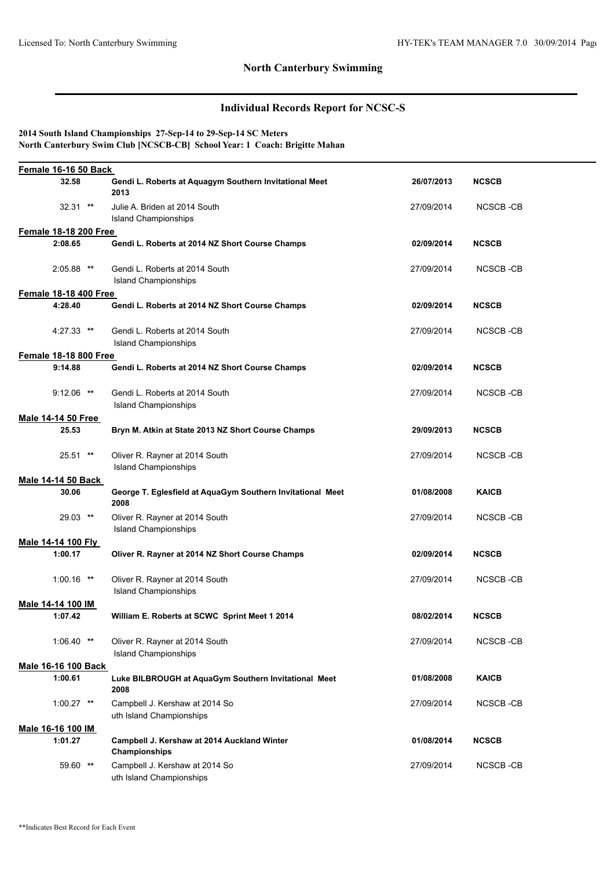## **North Canterbury Swimming**

# **Individual Records Report for NCSC-S**

### **2014 South Island Championships 27-Sep-14 to 29-Sep-14 SC Meters North Canterbury Swim Club [NCSCB-CB] School Year: 1 Coach: Brigitte Mahan**

| Female 16-16 50 Back         |                                                                    |            |              |  |
|------------------------------|--------------------------------------------------------------------|------------|--------------|--|
| 32.58                        | Gendi L. Roberts at Aquagym Southern Invitational Meet<br>2013     | 26/07/2013 | <b>NCSCB</b> |  |
| $32.31$ **                   | Julie A. Briden at 2014 South<br>Island Championships              | 27/09/2014 | NCSCB-CB     |  |
| <b>Female 18-18 200 Free</b> |                                                                    |            |              |  |
| 2:08.65                      | Gendi L. Roberts at 2014 NZ Short Course Champs                    | 02/09/2014 | <b>NCSCB</b> |  |
| $2:05.88$ **                 | Gendi L. Roberts at 2014 South<br><b>Island Championships</b>      | 27/09/2014 | NCSCB-CB     |  |
| <b>Female 18-18 400 Free</b> |                                                                    |            |              |  |
| 4:28.40                      | Gendi L. Roberts at 2014 NZ Short Course Champs                    | 02/09/2014 | <b>NCSCB</b> |  |
| $4:27.33$ **                 | Gendi L. Roberts at 2014 South<br><b>Island Championships</b>      | 27/09/2014 | NCSCB-CB     |  |
| <b>Female 18-18 800 Free</b> |                                                                    |            |              |  |
| 9:14.88                      | Gendi L. Roberts at 2014 NZ Short Course Champs                    | 02/09/2014 | <b>NCSCB</b> |  |
| $9:12.06$ **                 | Gendi L. Roberts at 2014 South<br><b>Island Championships</b>      | 27/09/2014 | NCSCB-CB     |  |
| <b>Male 14-14 50 Free</b>    |                                                                    |            |              |  |
| 25.53                        | Bryn M. Atkin at State 2013 NZ Short Course Champs                 | 29/09/2013 | <b>NCSCB</b> |  |
| $25.51$ **                   | Oliver R. Rayner at 2014 South<br><b>Island Championships</b>      | 27/09/2014 | NCSCB-CB     |  |
| <b>Male 14-14 50 Back</b>    |                                                                    |            |              |  |
| 30.06                        | George T. Eglesfield at AquaGym Southern Invitational Meet<br>2008 | 01/08/2008 | <b>KAICB</b> |  |
| 29.03 **                     | Oliver R. Rayner at 2014 South<br><b>Island Championships</b>      | 27/09/2014 | NCSCB-CB     |  |
| Male 14-14 100 Fly           |                                                                    |            |              |  |
| 1:00.17                      | Oliver R. Rayner at 2014 NZ Short Course Champs                    | 02/09/2014 | <b>NCSCB</b> |  |
| $1:00.16$ **                 | Oliver R. Rayner at 2014 South<br><b>Island Championships</b>      | 27/09/2014 | NCSCB-CB     |  |
| Male 14-14 100 IM            |                                                                    |            |              |  |
| 1:07.42                      | William E. Roberts at SCWC Sprint Meet 1 2014                      | 08/02/2014 | <b>NCSCB</b> |  |
| $1:06.40$ **                 | Oliver R. Rayner at 2014 South<br><b>Island Championships</b>      | 27/09/2014 | NCSCB-CB     |  |
| Male 16-16 100 Back          |                                                                    |            |              |  |
| 1:00.61                      | Luke BILBROUGH at AquaGym Southern Invitational Meet<br>2008       | 01/08/2008 | <b>KAICB</b> |  |
| $1:00.27$ **                 | Campbell J. Kershaw at 2014 So<br>uth Island Championships         | 27/09/2014 | NCSCB-CB     |  |
| Male 16-16 100 IM            |                                                                    |            |              |  |
| 1:01.27                      | Campbell J. Kershaw at 2014 Auckland Winter<br>Championships       | 01/08/2014 | <b>NCSCB</b> |  |
| 59.60 **                     | Campbell J. Kershaw at 2014 So<br>uth Island Championships         | 27/09/2014 | NCSCB-CB     |  |